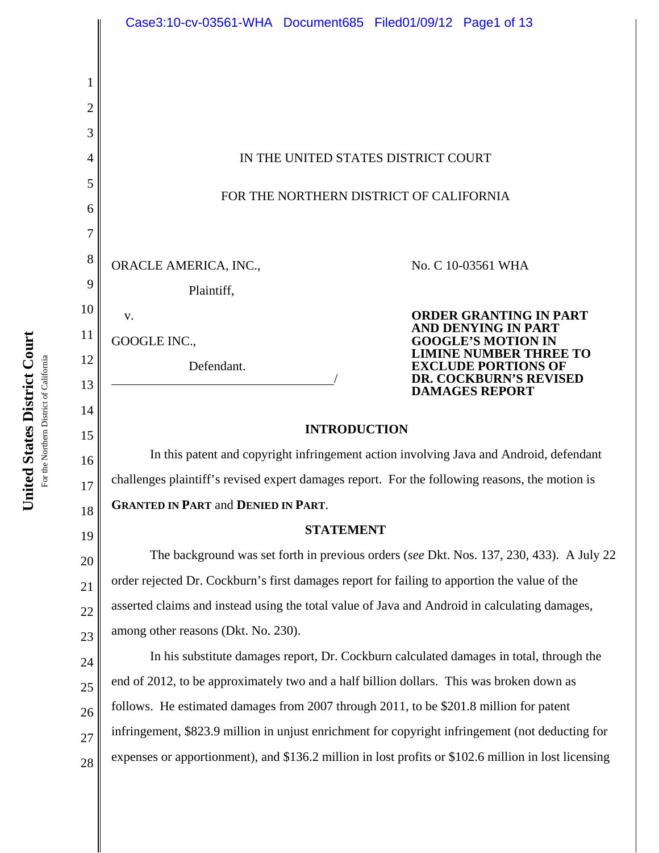

**United States District Court United States District Court** For the Northern District of California For the Northern District of California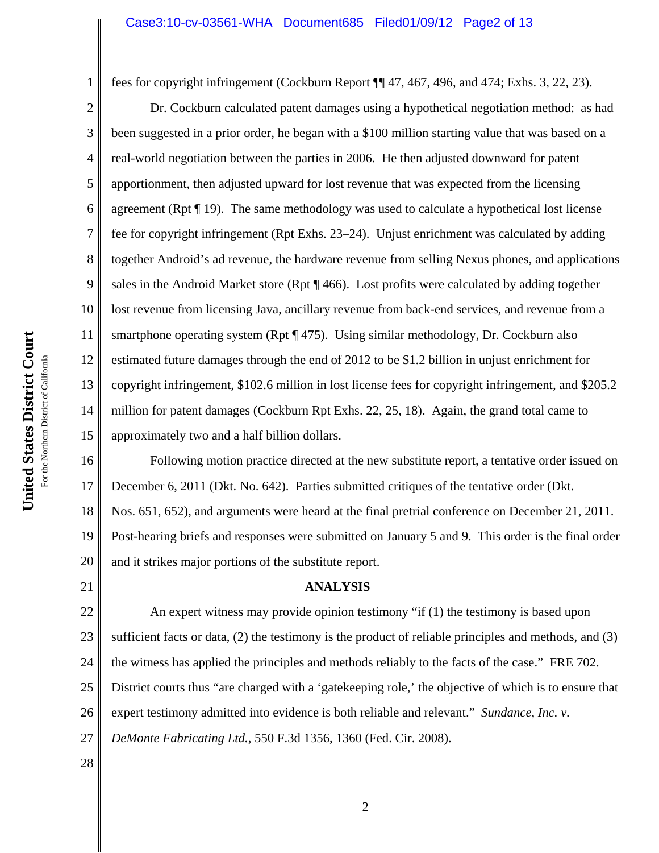fees for copyright infringement (Cockburn Report ¶¶ 47, 467, 496, and 474; Exhs. 3, 22, 23).

2 3 4 5 6 7 8 9 10 11 12 13 14 15 Dr. Cockburn calculated patent damages using a hypothetical negotiation method: as had been suggested in a prior order, he began with a \$100 million starting value that was based on a real-world negotiation between the parties in 2006. He then adjusted downward for patent apportionment, then adjusted upward for lost revenue that was expected from the licensing agreement (Rpt ¶ 19). The same methodology was used to calculate a hypothetical lost license fee for copyright infringement (Rpt Exhs. 23–24). Unjust enrichment was calculated by adding together Android's ad revenue, the hardware revenue from selling Nexus phones, and applications sales in the Android Market store (Rpt ¶ 466). Lost profits were calculated by adding together lost revenue from licensing Java, ancillary revenue from back-end services, and revenue from a smartphone operating system (Rpt ¶ 475). Using similar methodology, Dr. Cockburn also estimated future damages through the end of 2012 to be \$1.2 billion in unjust enrichment for copyright infringement, \$102.6 million in lost license fees for copyright infringement, and \$205.2 million for patent damages (Cockburn Rpt Exhs. 22, 25, 18). Again, the grand total came to approximately two and a half billion dollars.

16 17 18 19 20 Following motion practice directed at the new substitute report, a tentative order issued on December 6, 2011 (Dkt. No. 642). Parties submitted critiques of the tentative order (Dkt. Nos. 651, 652), and arguments were heard at the final pretrial conference on December 21, 2011. Post-hearing briefs and responses were submitted on January 5 and 9. This order is the final order and it strikes major portions of the substitute report.

# **ANALYSIS**

22 23 24 25 26 27 An expert witness may provide opinion testimony "if (1) the testimony is based upon sufficient facts or data, (2) the testimony is the product of reliable principles and methods, and (3) the witness has applied the principles and methods reliably to the facts of the case." FRE 702. District courts thus "are charged with a 'gatekeeping role,' the objective of which is to ensure that expert testimony admitted into evidence is both reliable and relevant." *Sundance, Inc. v. DeMonte Fabricating Ltd.*, 550 F.3d 1356, 1360 (Fed. Cir. 2008).

28

21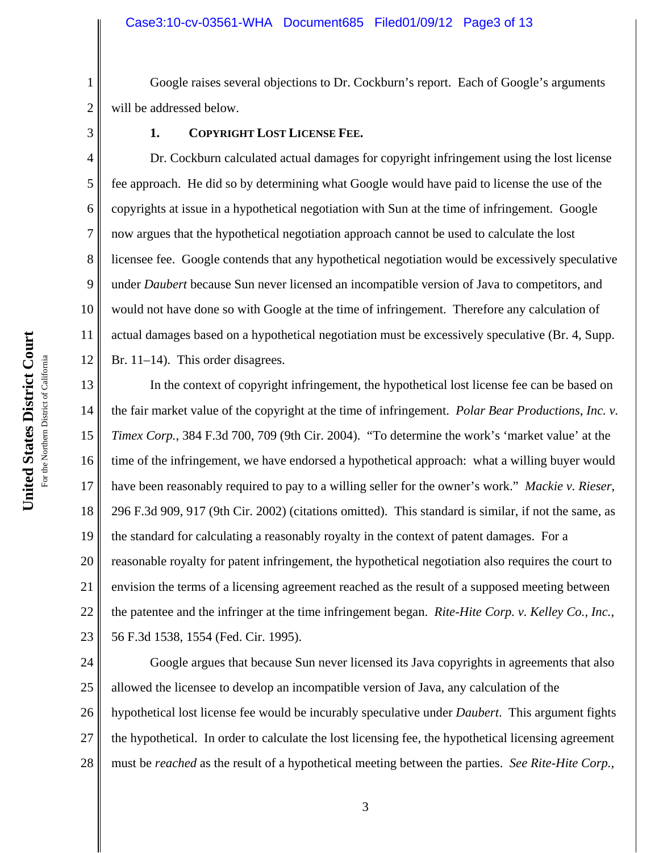Google raises several objections to Dr. Cockburn's report. Each of Google's arguments will be addressed below.

1

2

3

4

5

6

7

8

9

10

11

12

# **1. COPYRIGHT LOST LICENSE FEE.**

Dr. Cockburn calculated actual damages for copyright infringement using the lost license fee approach. He did so by determining what Google would have paid to license the use of the copyrights at issue in a hypothetical negotiation with Sun at the time of infringement. Google now argues that the hypothetical negotiation approach cannot be used to calculate the lost licensee fee. Google contends that any hypothetical negotiation would be excessively speculative under *Daubert* because Sun never licensed an incompatible version of Java to competitors, and would not have done so with Google at the time of infringement. Therefore any calculation of actual damages based on a hypothetical negotiation must be excessively speculative (Br. 4, Supp. Br. 11–14). This order disagrees.

13 14 15 16 17 18 19 20 21 22 23 In the context of copyright infringement, the hypothetical lost license fee can be based on the fair market value of the copyright at the time of infringement. *Polar Bear Productions, Inc. v. Timex Corp.*, 384 F.3d 700, 709 (9th Cir. 2004). "To determine the work's 'market value' at the time of the infringement, we have endorsed a hypothetical approach: what a willing buyer would have been reasonably required to pay to a willing seller for the owner's work." *Mackie v. Rieser*, 296 F.3d 909, 917 (9th Cir. 2002) (citations omitted). This standard is similar, if not the same, as the standard for calculating a reasonably royalty in the context of patent damages. For a reasonable royalty for patent infringement, the hypothetical negotiation also requires the court to envision the terms of a licensing agreement reached as the result of a supposed meeting between the patentee and the infringer at the time infringement began. *Rite-Hite Corp. v. Kelley Co., Inc.*, 56 F.3d 1538, 1554 (Fed. Cir. 1995).

24 25 26 27 28 Google argues that because Sun never licensed its Java copyrights in agreements that also allowed the licensee to develop an incompatible version of Java, any calculation of the hypothetical lost license fee would be incurably speculative under *Daubert*. This argument fights the hypothetical. In order to calculate the lost licensing fee, the hypothetical licensing agreement must be *reached* as the result of a hypothetical meeting between the parties. *See Rite-Hite Corp.*,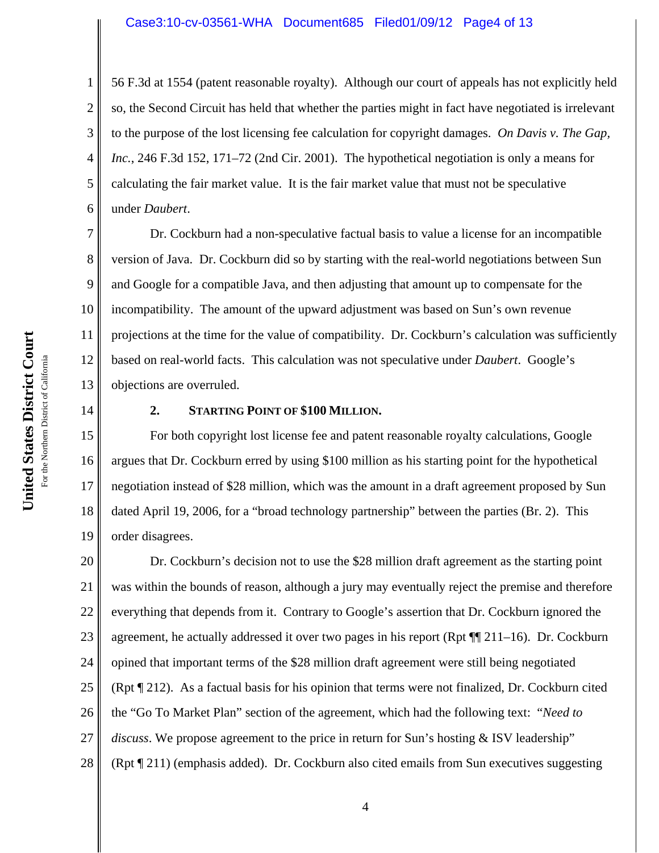# Case3:10-cv-03561-WHA Document685 Filed01/09/12 Page4 of 13

4 56 F.3d at 1554 (patent reasonable royalty). Although our court of appeals has not explicitly held so, the Second Circuit has held that whether the parties might in fact have negotiated is irrelevant to the purpose of the lost licensing fee calculation for copyright damages. *On Davis v. The Gap, Inc.*, 246 F.3d 152, 171–72 (2nd Cir. 2001). The hypothetical negotiation is only a means for calculating the fair market value. It is the fair market value that must not be speculative under *Daubert*.

7 8 9 10 11 12 13 Dr. Cockburn had a non-speculative factual basis to value a license for an incompatible version of Java. Dr. Cockburn did so by starting with the real-world negotiations between Sun and Google for a compatible Java, and then adjusting that amount up to compensate for the incompatibility. The amount of the upward adjustment was based on Sun's own revenue projections at the time for the value of compatibility. Dr. Cockburn's calculation was sufficiently based on real-world facts. This calculation was not speculative under *Daubert*. Google's objections are overruled.

14

1

2

3

5

6

## **2. STARTING POINT OF \$100 MILLION.**

15 16 17 18 19 For both copyright lost license fee and patent reasonable royalty calculations, Google argues that Dr. Cockburn erred by using \$100 million as his starting point for the hypothetical negotiation instead of \$28 million, which was the amount in a draft agreement proposed by Sun dated April 19, 2006, for a "broad technology partnership" between the parties (Br. 2). This order disagrees.

20 21 22 23 24 25 26 27 28 Dr. Cockburn's decision not to use the \$28 million draft agreement as the starting point was within the bounds of reason, although a jury may eventually reject the premise and therefore everything that depends from it. Contrary to Google's assertion that Dr. Cockburn ignored the agreement, he actually addressed it over two pages in his report (Rpt  $\P$  11–16). Dr. Cockburn opined that important terms of the \$28 million draft agreement were still being negotiated (Rpt ¶ 212). As a factual basis for his opinion that terms were not finalized, Dr. Cockburn cited the "Go To Market Plan" section of the agreement, which had the following text: "*Need to discuss*. We propose agreement to the price in return for Sun's hosting & ISV leadership" (Rpt ¶ 211) (emphasis added). Dr. Cockburn also cited emails from Sun executives suggesting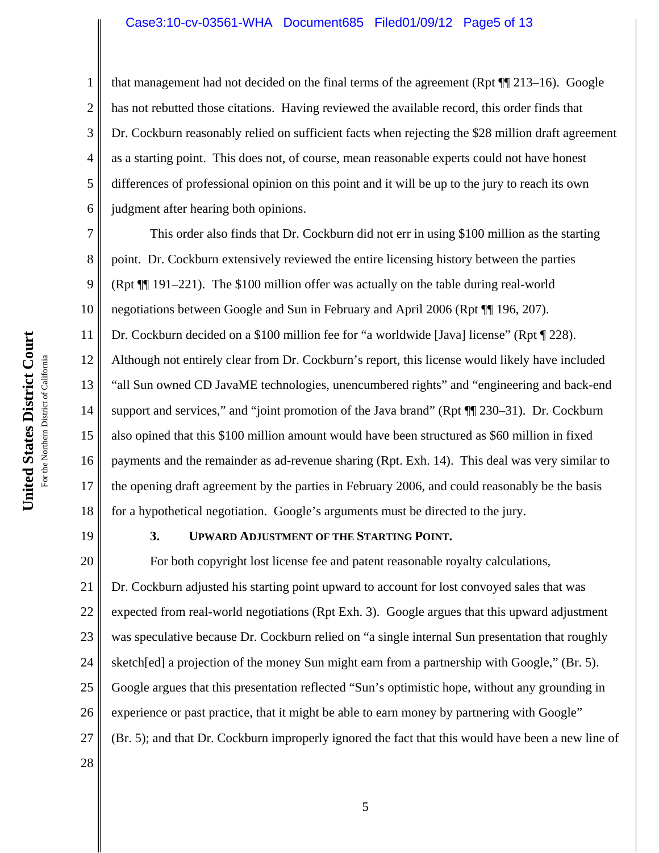### Case3:10-cv-03561-WHA Document685 Filed01/09/12 Page5 of 13

that management had not decided on the final terms of the agreement (Rpt ¶¶ 213–16). Google has not rebutted those citations. Having reviewed the available record, this order finds that Dr. Cockburn reasonably relied on sufficient facts when rejecting the \$28 million draft agreement as a starting point. This does not, of course, mean reasonable experts could not have honest differences of professional opinion on this point and it will be up to the jury to reach its own judgment after hearing both opinions.

7 8 9 10 11 12 13 14 15 16 17 18 This order also finds that Dr. Cockburn did not err in using \$100 million as the starting point. Dr. Cockburn extensively reviewed the entire licensing history between the parties (Rpt ¶¶ 191–221). The \$100 million offer was actually on the table during real-world negotiations between Google and Sun in February and April 2006 (Rpt ¶¶ 196, 207). Dr. Cockburn decided on a \$100 million fee for "a worldwide [Java] license" (Rpt ¶ 228). Although not entirely clear from Dr. Cockburn's report, this license would likely have included "all Sun owned CD JavaME technologies, unencumbered rights" and "engineering and back-end support and services," and "joint promotion of the Java brand" (Rpt  $\P$  230–31). Dr. Cockburn also opined that this \$100 million amount would have been structured as \$60 million in fixed payments and the remainder as ad-revenue sharing (Rpt. Exh. 14). This deal was very similar to the opening draft agreement by the parties in February 2006, and could reasonably be the basis for a hypothetical negotiation. Google's arguments must be directed to the jury.

19

1

2

3

4

5

6

# **3. UPWARD ADJUSTMENT OF THE STARTING POINT.**

20 21 22 23 24 25 26 27 28 For both copyright lost license fee and patent reasonable royalty calculations, Dr. Cockburn adjusted his starting point upward to account for lost convoyed sales that was expected from real-world negotiations (Rpt Exh. 3). Google argues that this upward adjustment was speculative because Dr. Cockburn relied on "a single internal Sun presentation that roughly sketch[ed] a projection of the money Sun might earn from a partnership with Google," (Br. 5). Google argues that this presentation reflected "Sun's optimistic hope, without any grounding in experience or past practice, that it might be able to earn money by partnering with Google" (Br. 5); and that Dr. Cockburn improperly ignored the fact that this would have been a new line of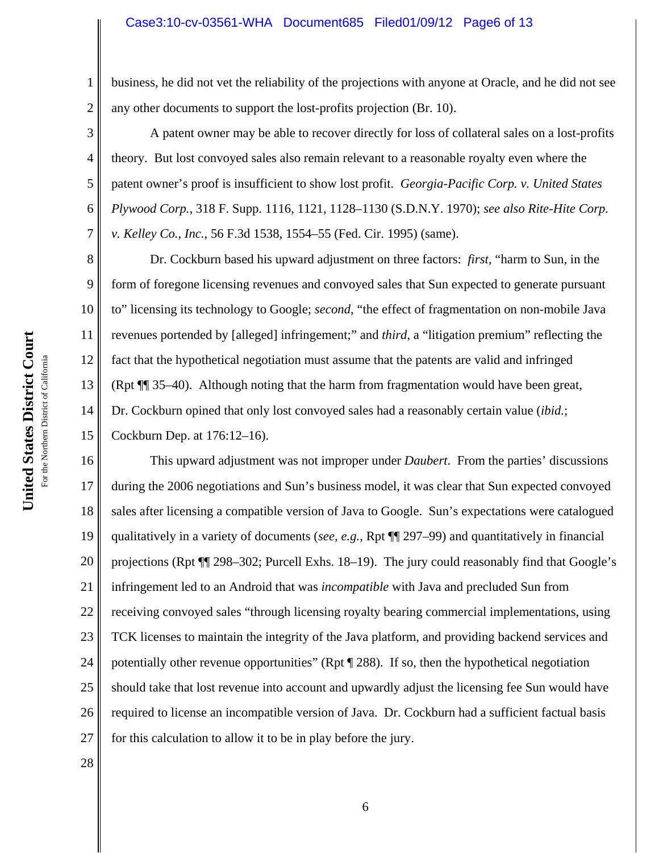### Case3:10-cv-03561-WHA Document685 Filed01/09/12 Page6 of 13

1 2 business, he did not vet the reliability of the projections with anyone at Oracle, and he did not see any other documents to support the lost-profits projection (Br. 10).

A patent owner may be able to recover directly for loss of collateral sales on a lost-profits theory. But lost convoyed sales also remain relevant to a reasonable royalty even where the patent owner's proof is insufficient to show lost profit. *Georgia-Pacific Corp. v. United States Plywood Corp.*, 318 F. Supp. 1116, 1121, 1128–1130 (S.D.N.Y. 1970); *see also Rite-Hite Corp. v. Kelley Co., Inc.*, 56 F.3d 1538, 1554–55 (Fed. Cir. 1995) (same).

8 9 10 11 12 13 14 Dr. Cockburn based his upward adjustment on three factors: *first*, "harm to Sun, in the form of foregone licensing revenues and convoyed sales that Sun expected to generate pursuant to" licensing its technology to Google; *second*, "the effect of fragmentation on non-mobile Java revenues portended by [alleged] infringement;" and *third*, a "litigation premium" reflecting the fact that the hypothetical negotiation must assume that the patents are valid and infringed (Rpt ¶¶ 35–40). Although noting that the harm from fragmentation would have been great, Dr. Cockburn opined that only lost convoyed sales had a reasonably certain value (*ibid.*; Cockburn Dep. at 176:12–16).

16 17 18 19 20 21 22 23 24 25 26 27 This upward adjustment was not improper under *Daubert*. From the parties' discussions during the 2006 negotiations and Sun's business model, it was clear that Sun expected convoyed sales after licensing a compatible version of Java to Google. Sun's expectations were catalogued qualitatively in a variety of documents (*see, e.g.*, Rpt ¶¶ 297–99) and quantitatively in financial projections (Rpt ¶¶ 298–302; Purcell Exhs. 18–19). The jury could reasonably find that Google's infringement led to an Android that was *incompatible* with Java and precluded Sun from receiving convoyed sales "through licensing royalty bearing commercial implementations, using TCK licenses to maintain the integrity of the Java platform, and providing backend services and potentially other revenue opportunities" (Rpt ¶ 288). If so, then the hypothetical negotiation should take that lost revenue into account and upwardly adjust the licensing fee Sun would have required to license an incompatible version of Java. Dr. Cockburn had a sufficient factual basis for this calculation to allow it to be in play before the jury.

28

United States District Court **United States District Court** For the Northern District of California For the Northern District of California 3

4

5

6

7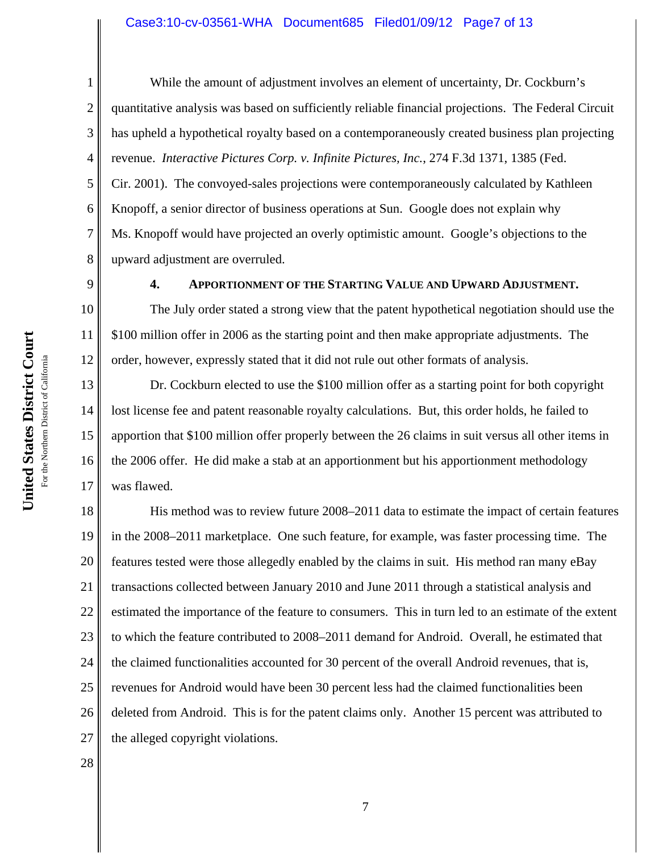### Case3:10-cv-03561-WHA Document685 Filed01/09/12 Page7 of 13

1

9

10

11

12

2 3 4 5 6 7 8 While the amount of adjustment involves an element of uncertainty, Dr. Cockburn's quantitative analysis was based on sufficiently reliable financial projections. The Federal Circuit has upheld a hypothetical royalty based on a contemporaneously created business plan projecting revenue. *Interactive Pictures Corp. v. Infinite Pictures, Inc.*, 274 F.3d 1371, 1385 (Fed. Cir. 2001). The convoyed-sales projections were contemporaneously calculated by Kathleen Knopoff, a senior director of business operations at Sun. Google does not explain why Ms. Knopoff would have projected an overly optimistic amount. Google's objections to the upward adjustment are overruled.

**4. APPORTIONMENT OF THE STARTING VALUE AND UPWARD ADJUSTMENT.**

The July order stated a strong view that the patent hypothetical negotiation should use the \$100 million offer in 2006 as the starting point and then make appropriate adjustments. The order, however, expressly stated that it did not rule out other formats of analysis.

13 14 15 16 17 Dr. Cockburn elected to use the \$100 million offer as a starting point for both copyright lost license fee and patent reasonable royalty calculations. But, this order holds, he failed to apportion that \$100 million offer properly between the 26 claims in suit versus all other items in the 2006 offer. He did make a stab at an apportionment but his apportionment methodology was flawed.

18 19 20 21 22 23 24 25 26 27 His method was to review future 2008–2011 data to estimate the impact of certain features in the 2008–2011 marketplace. One such feature, for example, was faster processing time. The features tested were those allegedly enabled by the claims in suit. His method ran many eBay transactions collected between January 2010 and June 2011 through a statistical analysis and estimated the importance of the feature to consumers. This in turn led to an estimate of the extent to which the feature contributed to 2008–2011 demand for Android. Overall, he estimated that the claimed functionalities accounted for 30 percent of the overall Android revenues, that is, revenues for Android would have been 30 percent less had the claimed functionalities been deleted from Android. This is for the patent claims only. Another 15 percent was attributed to the alleged copyright violations.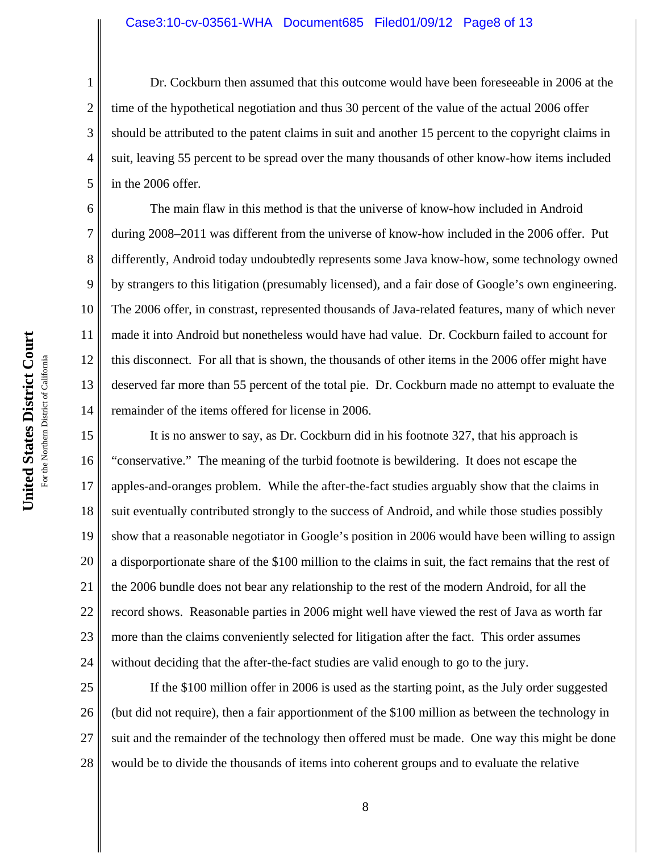#### Case3:10-cv-03561-WHA Document685 Filed01/09/12 Page8 of 13

Dr. Cockburn then assumed that this outcome would have been foreseeable in 2006 at the time of the hypothetical negotiation and thus 30 percent of the value of the actual 2006 offer should be attributed to the patent claims in suit and another 15 percent to the copyright claims in suit, leaving 55 percent to be spread over the many thousands of other know-how items included in the 2006 offer.

The main flaw in this method is that the universe of know-how included in Android during 2008–2011 was different from the universe of know-how included in the 2006 offer. Put differently, Android today undoubtedly represents some Java know-how, some technology owned by strangers to this litigation (presumably licensed), and a fair dose of Google's own engineering. The 2006 offer, in constrast, represented thousands of Java-related features, many of which never made it into Android but nonetheless would have had value. Dr. Cockburn failed to account for this disconnect. For all that is shown, the thousands of other items in the 2006 offer might have deserved far more than 55 percent of the total pie. Dr. Cockburn made no attempt to evaluate the remainder of the items offered for license in 2006.

15 16 17 18 19 20 21 22 23 24 It is no answer to say, as Dr. Cockburn did in his footnote 327, that his approach is "conservative." The meaning of the turbid footnote is bewildering. It does not escape the apples-and-oranges problem. While the after-the-fact studies arguably show that the claims in suit eventually contributed strongly to the success of Android, and while those studies possibly show that a reasonable negotiator in Google's position in 2006 would have been willing to assign a disporportionate share of the \$100 million to the claims in suit, the fact remains that the rest of the 2006 bundle does not bear any relationship to the rest of the modern Android, for all the record shows. Reasonable parties in 2006 might well have viewed the rest of Java as worth far more than the claims conveniently selected for litigation after the fact. This order assumes without deciding that the after-the-fact studies are valid enough to go to the jury.

25 26 27 28 If the \$100 million offer in 2006 is used as the starting point, as the July order suggested (but did not require), then a fair apportionment of the \$100 million as between the technology in suit and the remainder of the technology then offered must be made. One way this might be done would be to divide the thousands of items into coherent groups and to evaluate the relative

1

2

3

4

5

6

7

8

9

10

11

12

13

14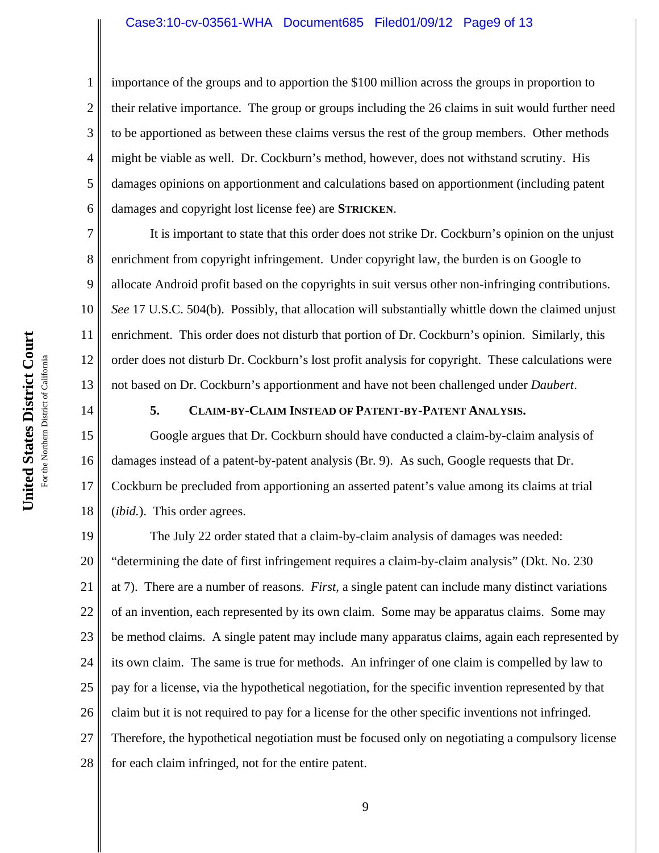#### Case3:10-cv-03561-WHA Document685 Filed01/09/12 Page9 of 13

importance of the groups and to apportion the \$100 million across the groups in proportion to their relative importance. The group or groups including the 26 claims in suit would further need to be apportioned as between these claims versus the rest of the group members. Other methods might be viable as well. Dr. Cockburn's method, however, does not withstand scrutiny. His damages opinions on apportionment and calculations based on apportionment (including patent damages and copyright lost license fee) are **STRICKEN**.

It is important to state that this order does not strike Dr. Cockburn's opinion on the unjust enrichment from copyright infringement. Under copyright law, the burden is on Google to allocate Android profit based on the copyrights in suit versus other non-infringing contributions. *See* 17 U.S.C. 504(b). Possibly, that allocation will substantially whittle down the claimed unjust enrichment. This order does not disturb that portion of Dr. Cockburn's opinion. Similarly, this order does not disturb Dr. Cockburn's lost profit analysis for copyright. These calculations were not based on Dr. Cockburn's apportionment and have not been challenged under *Daubert*.

14

1

2

3

4

5

6

7

8

9

10

11

12

13

# **5. CLAIM-BY-CLAIM INSTEAD OF PATENT-BY-PATENT ANALYSIS.**

15 16 17 18 Google argues that Dr. Cockburn should have conducted a claim-by-claim analysis of damages instead of a patent-by-patent analysis (Br. 9). As such, Google requests that Dr. Cockburn be precluded from apportioning an asserted patent's value among its claims at trial (*ibid.*). This order agrees.

19 20 21 22 23 24 25 26 27 28 The July 22 order stated that a claim-by-claim analysis of damages was needed: "determining the date of first infringement requires a claim-by-claim analysis" (Dkt. No. 230 at 7). There are a number of reasons. *First*, a single patent can include many distinct variations of an invention, each represented by its own claim. Some may be apparatus claims. Some may be method claims. A single patent may include many apparatus claims, again each represented by its own claim. The same is true for methods. An infringer of one claim is compelled by law to pay for a license, via the hypothetical negotiation, for the specific invention represented by that claim but it is not required to pay for a license for the other specific inventions not infringed. Therefore, the hypothetical negotiation must be focused only on negotiating a compulsory license for each claim infringed, not for the entire patent.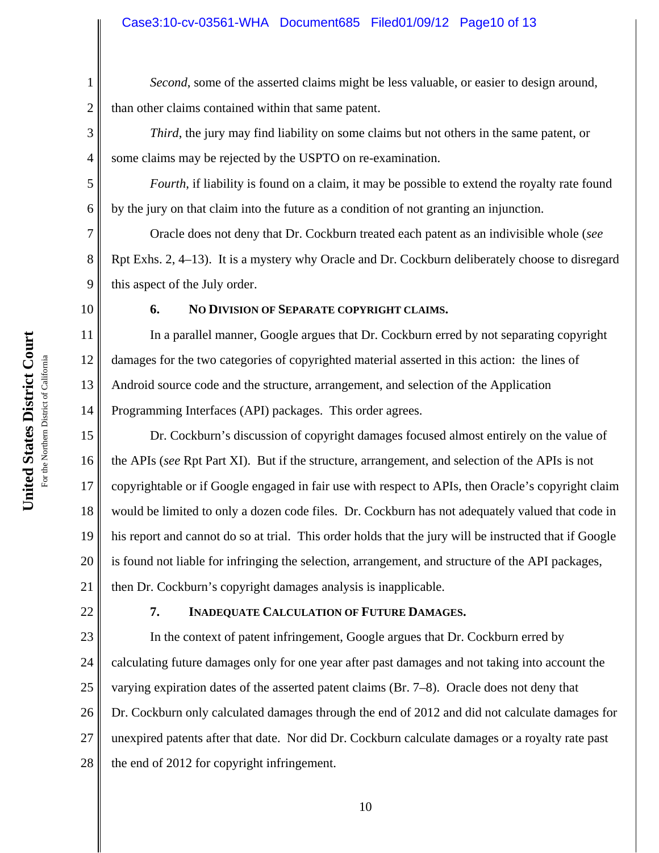# Case3:10-cv-03561-WHA Document685 Filed01/09/12 Page10 of 13

*Second*, some of the asserted claims might be less valuable, or easier to design around, than other claims contained within that same patent.

*Third*, the jury may find liability on some claims but not others in the same patent, or some claims may be rejected by the USPTO on re-examination.

*Fourth*, if liability is found on a claim, it may be possible to extend the royalty rate found by the jury on that claim into the future as a condition of not granting an injunction.

Oracle does not deny that Dr. Cockburn treated each patent as an indivisible whole (*see* Rpt Exhs. 2, 4–13). It is a mystery why Oracle and Dr. Cockburn deliberately choose to disregard this aspect of the July order.

10

11

12

13

14

1

2

3

4

5

6

7

8

9

# **6. NO DIVISION OF SEPARATE COPYRIGHT CLAIMS.**

In a parallel manner, Google argues that Dr. Cockburn erred by not separating copyright damages for the two categories of copyrighted material asserted in this action: the lines of Android source code and the structure, arrangement, and selection of the Application Programming Interfaces (API) packages. This order agrees.

15 16 17 18 19 20 21 Dr. Cockburn's discussion of copyright damages focused almost entirely on the value of the APIs (*see* Rpt Part XI). But if the structure, arrangement, and selection of the APIs is not copyrightable or if Google engaged in fair use with respect to APIs, then Oracle's copyright claim would be limited to only a dozen code files. Dr. Cockburn has not adequately valued that code in his report and cannot do so at trial. This order holds that the jury will be instructed that if Google is found not liable for infringing the selection, arrangement, and structure of the API packages, then Dr. Cockburn's copyright damages analysis is inapplicable.

22

### **7. INADEQUATE CALCULATION OF FUTURE DAMAGES.**

23 24 25 26 27 28 In the context of patent infringement, Google argues that Dr. Cockburn erred by calculating future damages only for one year after past damages and not taking into account the varying expiration dates of the asserted patent claims (Br. 7–8). Oracle does not deny that Dr. Cockburn only calculated damages through the end of 2012 and did not calculate damages for unexpired patents after that date. Nor did Dr. Cockburn calculate damages or a royalty rate past the end of 2012 for copyright infringement.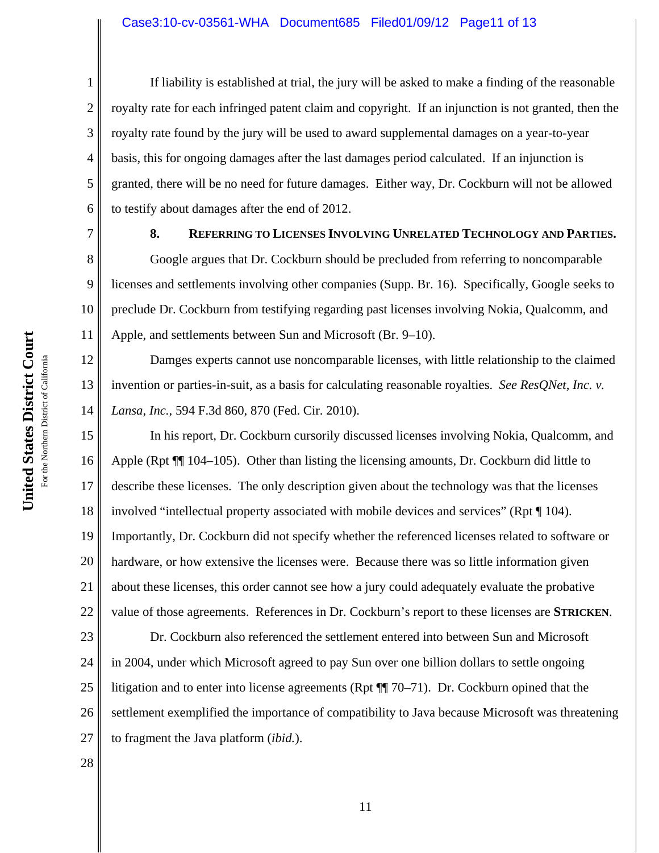### Case3:10-cv-03561-WHA Document685 Filed01/09/12 Page11 of 13

4 6 If liability is established at trial, the jury will be asked to make a finding of the reasonable royalty rate for each infringed patent claim and copyright. If an injunction is not granted, then the royalty rate found by the jury will be used to award supplemental damages on a year-to-year basis, this for ongoing damages after the last damages period calculated. If an injunction is granted, there will be no need for future damages. Either way, Dr. Cockburn will not be allowed to testify about damages after the end of 2012.

7 8

9

10

11

1

2

3

5

### **8. REFERRING TO LICENSES INVOLVING UNRELATED TECHNOLOGY AND PARTIES.**

Google argues that Dr. Cockburn should be precluded from referring to noncomparable licenses and settlements involving other companies (Supp. Br. 16). Specifically, Google seeks to preclude Dr. Cockburn from testifying regarding past licenses involving Nokia, Qualcomm, and Apple, and settlements between Sun and Microsoft (Br. 9–10).

12 13 14 Damges experts cannot use noncomparable licenses, with little relationship to the claimed invention or parties-in-suit, as a basis for calculating reasonable royalties. *See ResQNet, Inc. v. Lansa*, *Inc.*, 594 F.3d 860, 870 (Fed. Cir. 2010).

15 16 17 18 19 20 21 22 In his report, Dr. Cockburn cursorily discussed licenses involving Nokia, Qualcomm, and Apple (Rpt  $\P$  104–105). Other than listing the licensing amounts, Dr. Cockburn did little to describe these licenses. The only description given about the technology was that the licenses involved "intellectual property associated with mobile devices and services" (Rpt ¶ 104). Importantly, Dr. Cockburn did not specify whether the referenced licenses related to software or hardware, or how extensive the licenses were. Because there was so little information given about these licenses, this order cannot see how a jury could adequately evaluate the probative value of those agreements. References in Dr. Cockburn's report to these licenses are **STRICKEN**.

23 24 25 26 27 Dr. Cockburn also referenced the settlement entered into between Sun and Microsoft in 2004, under which Microsoft agreed to pay Sun over one billion dollars to settle ongoing litigation and to enter into license agreements (Rpt  $\P$  70–71). Dr. Cockburn opined that the settlement exemplified the importance of compatibility to Java because Microsoft was threatening to fragment the Java platform (*ibid.*).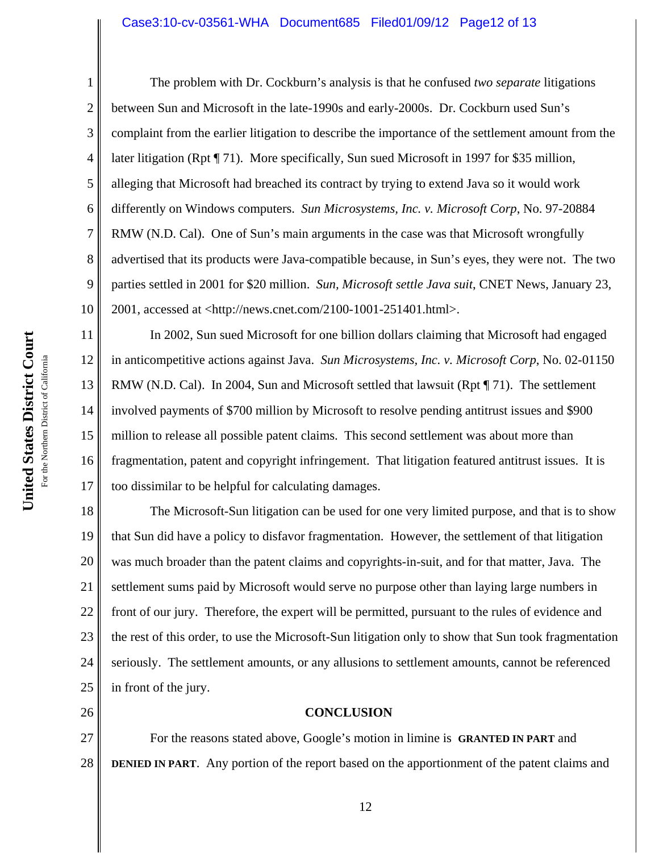#### Case3:10-cv-03561-WHA Document685 Filed01/09/12 Page12 of 13

United States District Court **United States District Court** For the Northern District of California For the Northern District of California

1 2 3 4 5 6 7 8 9 10 The problem with Dr. Cockburn's analysis is that he confused *two separate* litigations between Sun and Microsoft in the late-1990s and early-2000s. Dr. Cockburn used Sun's complaint from the earlier litigation to describe the importance of the settlement amount from the later litigation (Rpt ¶ 71). More specifically, Sun sued Microsoft in 1997 for \$35 million, alleging that Microsoft had breached its contract by trying to extend Java so it would work differently on Windows computers. *Sun Microsystems, Inc. v. Microsoft Corp*, No. 97-20884 RMW (N.D. Cal). One of Sun's main arguments in the case was that Microsoft wrongfully advertised that its products were Java-compatible because, in Sun's eyes, they were not. The two parties settled in 2001 for \$20 million. *Sun, Microsoft settle Java suit*, CNET News, January 23, 2001, accessed at <http://news.cnet.com/2100-1001-251401.html>.

11 12 13 14 15 16 17 In 2002, Sun sued Microsoft for one billion dollars claiming that Microsoft had engaged in anticompetitive actions against Java. *Sun Microsystems, Inc. v. Microsoft Corp*, No. 02-01150 RMW (N.D. Cal). In 2004, Sun and Microsoft settled that lawsuit (Rpt ¶ 71). The settlement involved payments of \$700 million by Microsoft to resolve pending antitrust issues and \$900 million to release all possible patent claims. This second settlement was about more than fragmentation, patent and copyright infringement. That litigation featured antitrust issues. It is too dissimilar to be helpful for calculating damages.

18 19 20 21 22 23 24 25 The Microsoft-Sun litigation can be used for one very limited purpose, and that is to show that Sun did have a policy to disfavor fragmentation. However, the settlement of that litigation was much broader than the patent claims and copyrights-in-suit, and for that matter, Java. The settlement sums paid by Microsoft would serve no purpose other than laying large numbers in front of our jury. Therefore, the expert will be permitted, pursuant to the rules of evidence and the rest of this order, to use the Microsoft-Sun litigation only to show that Sun took fragmentation seriously. The settlement amounts, or any allusions to settlement amounts, cannot be referenced in front of the jury.

26

**CONCLUSION**

27 28 For the reasons stated above, Google's motion in limine is **GRANTED IN PART** and **DENIED IN PART**. Any portion of the report based on the apportionment of the patent claims and